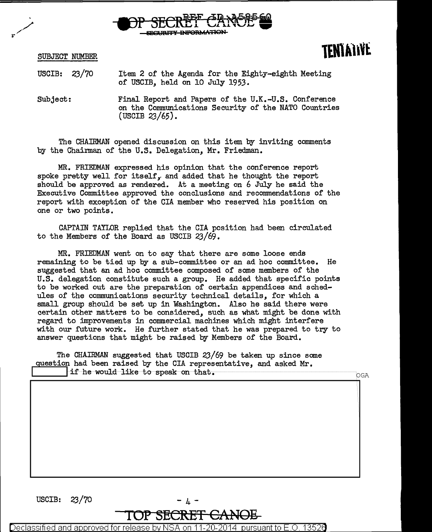

SUBJECT NUMBER

## **lEMlAll¥t**

USCIB: 23/70 Item 2 of the Agenda for the Eighty-eighth Meeting of USCIB, held on 10 July 1953.

Subject: Final Report and Papers of the U.K.-U.S. Conference on the Communications Security of the NATO Countries (USCIB 23/65).

The CHAIRMAN opened discussion on this item by inviting comments by the Chairman of the U.S. Delegation, Mr. Friedman.

MR. FRIEDMAN expressed his opinion that the conference report spoke pretty well for itself, and added that he thought the report should be approved as rendered. At a meeting on 6 July he said the Executive Committee approved the conclusions and recommendations of the report with exception of the CIA member who reserved his position on one or two points.

CAPTAIN TAYLOR replied that the CIA position had been circulated to the Members of the Board as USCIB 23/69.

MR. FRIEDMAN went on to say that there are some loose ends remaining to be tied up by a sub-committee or an ad hoc committee. He suggested that an ad hoc committee composed of some members of the U.S. delegation constitute such a group. He added that specific points to be worked out are the preparation of certain appendices and schedules of the communications security technical details, for which a small group should be set up in Washington. Also he said there were certain other matters to be considered, such as what might be done with regard to improvements in commercial machines which might interfere with our future work. He further stated that he was prepared to try to answer questions that might be raised qy Members of the Board.

The CHAIRMAN suggested that USCIB 23/69 be taken up since same question had been raised by the CIA representative, and asked Mr.<br>if he would like to speak on that.

 $\sim$   $\sim$   $\sim$ 



Declassified suant to E.O. and approved for relea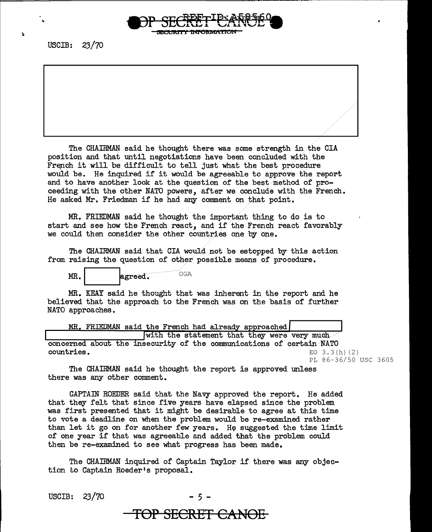

The CHAIRMAN said he thought there was some strength in .the CIA position and that until negotiations have been concluded with the French it will be difficult to tell just what the best procedure would be. He inquired if it would be agreeable to approve the report and to have another look at the question of the best method of proceeding with the other NATO powers, after we conclude with the French. He asked Mr. Friedman if he had any comment on that point.

MR. FRIEDMAN said he thought the important thing to do is to start and see how the French react, and if the French react favorably we could then consider the other countries one by one.

The CHAIRMAN said that CIA would not be estopped by this action from raising the question of other possible means of procedure.

MR. agreed. OGA

MR. KEAY said he thought that was inherent in the report and he believed that the approach to the French was on the basis of further NATO approaches.

|            | MR. FRIEDMAN said the French had already approached                  |                      |
|------------|----------------------------------------------------------------------|----------------------|
|            | with the statement that they were very much                          |                      |
|            | concerned about the insecurity of the communications of certain NATO |                      |
| countries. |                                                                      | $EO$ 3.3 $(h)$ (2)   |
|            |                                                                      | PL 86-36/50 USC 3605 |

The CHAIRMAN said he thought the report is approved unless there was any other comment.

CAPTAIN ROEDER said that the Navy approved the report. He added that they felt that since five years have elapsed since the problem was first presented that it might be desirable to agree at this time to vote a deadline on when the problem would be re-examined rather than let it go on for another few years. He suggested the time limit of one year if that was agreeable and added that the problem could then be re-examined to see what progress has been made.

The CHAIRMAN inquired o£ Captain Taylor *i£* there was any objection to Captain Roeder's proposal.

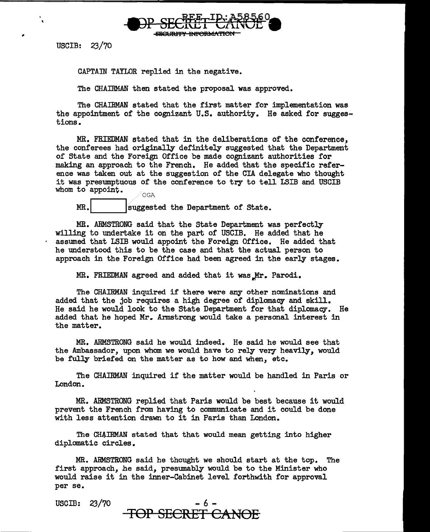

CAPTAIN TAYLOR replied in the negative.

The CHAIRMAN then stated the proposal was approved.

The CHAIRMAN stated that the first matter for implementation was the appointment of the cognizant U.S. authority. He asked for suggestions.

MR. FRIEDMAN stated that in the deliberations of the conference, the conferees had originally definitely suggested that the Department of State and the Foreign Office be made cognizant authorities for making an approach to the French. He added that the specific reference was taken out at the suggestion of the CIA delegate who thought it was presumptuous of the conference to try to tell LSIB and USCIB whom to appoint.

MR. Suggested the Department of State.

MR. ARMSTRONG said that the State Department was perfectly willing to undertake it on the part of USCIB. He added that he assumed that LSIB would appoint the Foreign Office. He added that he understood this to be the case and that the actual person to approach in the Foreign Office had been agreed in the early stages.

MR. FRIEDMAN agreed and added that it was Mr. Parodi.

The CHAIRMAN inquired if there were any other nominations and added that the job requires a high degree of diplomacy and skill. He said he would look to the State Department for that diplomacy. He added that he hoped Mr. Armstrong would take a personal interest in the matter.

MR. ARMSTRONG said he would indeed.. He said he would see that the Ambassador, upon whom we would have to rely very heavily, would be fully briefed on the matter as to how and when, etc.

The CHAIRMAN inquired if the matter would be handled in Paris or London.

MR. ARMSTRONG replied that Paris would be best because it would prevent the French from having to communicate and it could be done with less attention drawn to it in Paris than London.

The CHAIRMAN stated that that would mean getting into higher diplomatic circles.

MR. ARMSTRONG said he thought we should start at the top. The first approach, he said, presumably would be to the Minister who would raise it in the inner-Cabinet level forthwith for approval per se.

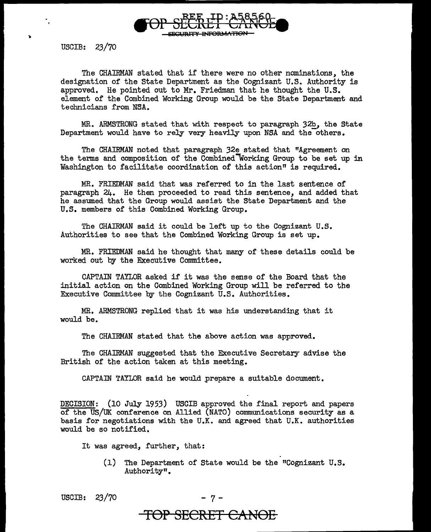

The CHAIRMAN stated that if there were no other nominations, the designation of the State Department as the Cognizant U.S. Authority is approved. He pointed out to Mr. Friedman that he thought the U.S. element of the Combined Working Group would be the State Department and technicians from NSA.

MR. ARMSTRONG stated that with respect to paragraph 32b, the State Department would have to rely very heavily upon NSA and the others.

The CHAIRMAN noted that paragraph 32e stated that "Agreement on the terms and composition of the Combined Working Group to be set up in Washington to facilitate coordination of this action" is required.

MR. FRIEDMAN said that was referred to in the last sentence of paragraph 24. He then proceeded to read this sentence, and added that he assumed that the Group would assist the State Department and the U.S. members of this Combined Working Group.

The CHAIRMAN said it could be left up to the Cognizant U.S. Authorities to see that the Combined Working Group is set up.

MR. FRIEDMAN said he thought that many of these details could be worked out by the Executive Committee.

CAPTAIN TAYLOR asked if it was the sense of the Board that the initial action on the Combined Working Group will be referred to the Executive Committee by the Cognizant U.S. Authorities.

MR. ARMSTRONG replied that it was his understanding that it would be.

The CHAIRMAN stated that the above action was approved.

The CHAIRMAN suggested that the Executive Secretary advise the British of the action taken at this meeting.

CAPTAIN TAYLOR said he would prepare a suitable document.

DECISION: (10 July 1953) USCIB approved the final report and papers of the US/UK conference on Allied (NATO) communications security as a basis for negotiations with the U.K. and agreed that U.K. authorities would be so notified.

It was agreed, further, that:

(1) The Department of State would be the "Cognizant U.S. Authority".

USCIB:  $23/70$ 

**TOP SECRET CANOE**